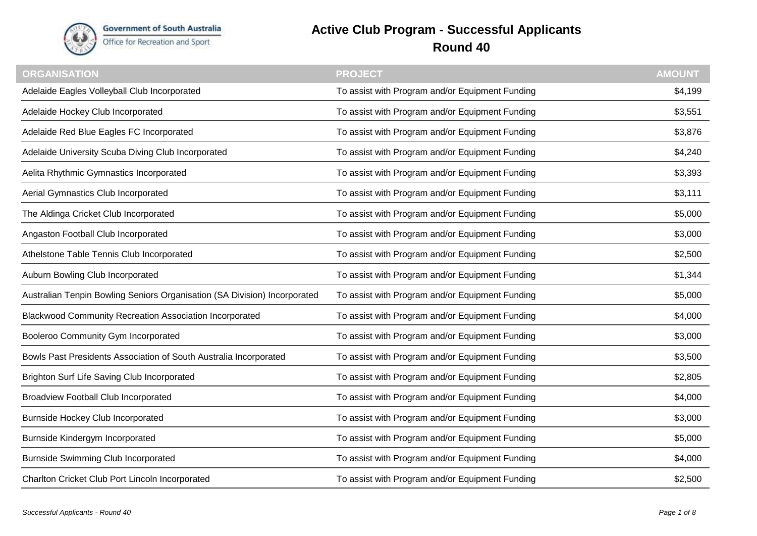

**Government of South Australia** Office for Recreation and Sport

## **Active Club Program - Successful Applicants Round 40**

| <b>ORGANISATION</b>                                                       | <b>PROJECT</b>                                  | <b>AMOUNT</b> |
|---------------------------------------------------------------------------|-------------------------------------------------|---------------|
| Adelaide Eagles Volleyball Club Incorporated                              | To assist with Program and/or Equipment Funding | \$4,199       |
| Adelaide Hockey Club Incorporated                                         | To assist with Program and/or Equipment Funding | \$3,551       |
| Adelaide Red Blue Eagles FC Incorporated                                  | To assist with Program and/or Equipment Funding | \$3,876       |
| Adelaide University Scuba Diving Club Incorporated                        | To assist with Program and/or Equipment Funding | \$4,240       |
| Aelita Rhythmic Gymnastics Incorporated                                   | To assist with Program and/or Equipment Funding | \$3,393       |
| Aerial Gymnastics Club Incorporated                                       | To assist with Program and/or Equipment Funding | \$3,111       |
| The Aldinga Cricket Club Incorporated                                     | To assist with Program and/or Equipment Funding | \$5,000       |
| Angaston Football Club Incorporated                                       | To assist with Program and/or Equipment Funding | \$3,000       |
| Athelstone Table Tennis Club Incorporated                                 | To assist with Program and/or Equipment Funding | \$2,500       |
| Auburn Bowling Club Incorporated                                          | To assist with Program and/or Equipment Funding | \$1,344       |
| Australian Tenpin Bowling Seniors Organisation (SA Division) Incorporated | To assist with Program and/or Equipment Funding | \$5,000       |
| Blackwood Community Recreation Association Incorporated                   | To assist with Program and/or Equipment Funding | \$4,000       |
| Booleroo Community Gym Incorporated                                       | To assist with Program and/or Equipment Funding | \$3,000       |
| Bowls Past Presidents Association of South Australia Incorporated         | To assist with Program and/or Equipment Funding | \$3,500       |
| Brighton Surf Life Saving Club Incorporated                               | To assist with Program and/or Equipment Funding | \$2,805       |
| <b>Broadview Football Club Incorporated</b>                               | To assist with Program and/or Equipment Funding | \$4,000       |
| Burnside Hockey Club Incorporated                                         | To assist with Program and/or Equipment Funding | \$3,000       |
| Burnside Kindergym Incorporated                                           | To assist with Program and/or Equipment Funding | \$5,000       |
| <b>Burnside Swimming Club Incorporated</b>                                | To assist with Program and/or Equipment Funding | \$4,000       |
| Charlton Cricket Club Port Lincoln Incorporated                           | To assist with Program and/or Equipment Funding | \$2,500       |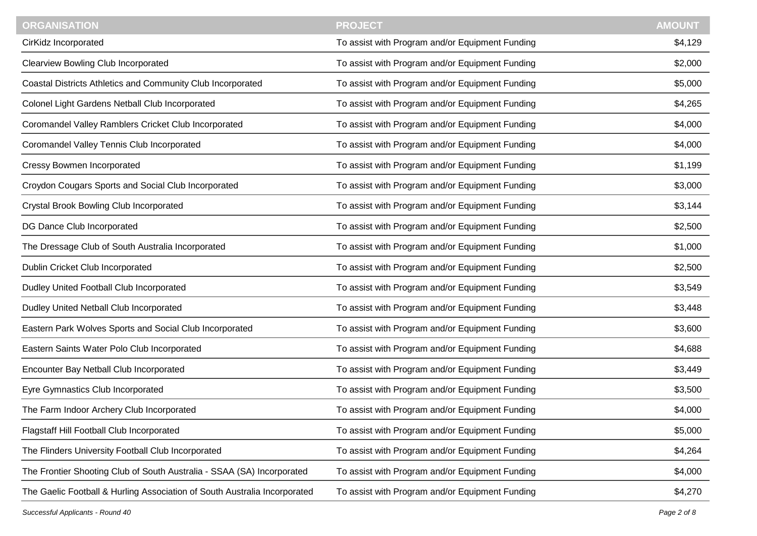| <b>ORGANISATION</b>                                                       | <b>PROJECT</b>                                  | <b>AMOUNT</b> |
|---------------------------------------------------------------------------|-------------------------------------------------|---------------|
| CirKidz Incorporated                                                      | To assist with Program and/or Equipment Funding | \$4,129       |
| <b>Clearview Bowling Club Incorporated</b>                                | To assist with Program and/or Equipment Funding | \$2,000       |
| Coastal Districts Athletics and Community Club Incorporated               | To assist with Program and/or Equipment Funding | \$5,000       |
| Colonel Light Gardens Netball Club Incorporated                           | To assist with Program and/or Equipment Funding | \$4,265       |
| Coromandel Valley Ramblers Cricket Club Incorporated                      | To assist with Program and/or Equipment Funding | \$4,000       |
| Coromandel Valley Tennis Club Incorporated                                | To assist with Program and/or Equipment Funding | \$4,000       |
| Cressy Bowmen Incorporated                                                | To assist with Program and/or Equipment Funding | \$1,199       |
| Croydon Cougars Sports and Social Club Incorporated                       | To assist with Program and/or Equipment Funding | \$3,000       |
| <b>Crystal Brook Bowling Club Incorporated</b>                            | To assist with Program and/or Equipment Funding | \$3,144       |
| DG Dance Club Incorporated                                                | To assist with Program and/or Equipment Funding | \$2,500       |
| The Dressage Club of South Australia Incorporated                         | To assist with Program and/or Equipment Funding | \$1,000       |
| Dublin Cricket Club Incorporated                                          | To assist with Program and/or Equipment Funding | \$2,500       |
| Dudley United Football Club Incorporated                                  | To assist with Program and/or Equipment Funding | \$3,549       |
| Dudley United Netball Club Incorporated                                   | To assist with Program and/or Equipment Funding | \$3,448       |
| Eastern Park Wolves Sports and Social Club Incorporated                   | To assist with Program and/or Equipment Funding | \$3,600       |
| Eastern Saints Water Polo Club Incorporated                               | To assist with Program and/or Equipment Funding | \$4,688       |
| Encounter Bay Netball Club Incorporated                                   | To assist with Program and/or Equipment Funding | \$3,449       |
| Eyre Gymnastics Club Incorporated                                         | To assist with Program and/or Equipment Funding | \$3,500       |
| The Farm Indoor Archery Club Incorporated                                 | To assist with Program and/or Equipment Funding | \$4,000       |
| Flagstaff Hill Football Club Incorporated                                 | To assist with Program and/or Equipment Funding | \$5,000       |
| The Flinders University Football Club Incorporated                        | To assist with Program and/or Equipment Funding | \$4,264       |
| The Frontier Shooting Club of South Australia - SSAA (SA) Incorporated    | To assist with Program and/or Equipment Funding | \$4,000       |
| The Gaelic Football & Hurling Association of South Australia Incorporated | To assist with Program and/or Equipment Funding | \$4,270       |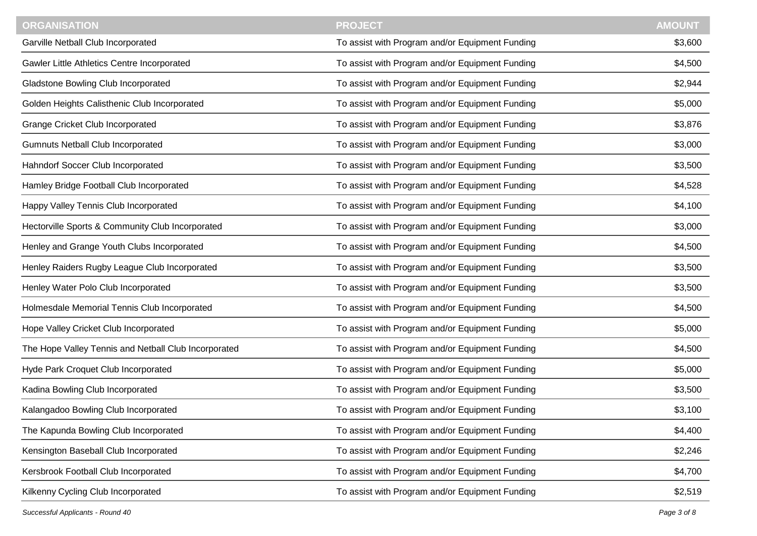| <b>ORGANISATION</b>                                  | <b>PROJECT</b>                                  | <b>AMOUNT</b> |
|------------------------------------------------------|-------------------------------------------------|---------------|
| Garville Netball Club Incorporated                   | To assist with Program and/or Equipment Funding | \$3,600       |
| Gawler Little Athletics Centre Incorporated          | To assist with Program and/or Equipment Funding | \$4,500       |
| Gladstone Bowling Club Incorporated                  | To assist with Program and/or Equipment Funding | \$2,944       |
| Golden Heights Calisthenic Club Incorporated         | To assist with Program and/or Equipment Funding | \$5,000       |
| <b>Grange Cricket Club Incorporated</b>              | To assist with Program and/or Equipment Funding | \$3,876       |
| Gumnuts Netball Club Incorporated                    | To assist with Program and/or Equipment Funding | \$3,000       |
| Hahndorf Soccer Club Incorporated                    | To assist with Program and/or Equipment Funding | \$3,500       |
| Hamley Bridge Football Club Incorporated             | To assist with Program and/or Equipment Funding | \$4,528       |
| Happy Valley Tennis Club Incorporated                | To assist with Program and/or Equipment Funding | \$4,100       |
| Hectorville Sports & Community Club Incorporated     | To assist with Program and/or Equipment Funding | \$3,000       |
| Henley and Grange Youth Clubs Incorporated           | To assist with Program and/or Equipment Funding | \$4,500       |
| Henley Raiders Rugby League Club Incorporated        | To assist with Program and/or Equipment Funding | \$3,500       |
| Henley Water Polo Club Incorporated                  | To assist with Program and/or Equipment Funding | \$3,500       |
| Holmesdale Memorial Tennis Club Incorporated         | To assist with Program and/or Equipment Funding | \$4,500       |
| Hope Valley Cricket Club Incorporated                | To assist with Program and/or Equipment Funding | \$5,000       |
| The Hope Valley Tennis and Netball Club Incorporated | To assist with Program and/or Equipment Funding | \$4,500       |
| Hyde Park Croquet Club Incorporated                  | To assist with Program and/or Equipment Funding | \$5,000       |
| Kadina Bowling Club Incorporated                     | To assist with Program and/or Equipment Funding | \$3,500       |
| Kalangadoo Bowling Club Incorporated                 | To assist with Program and/or Equipment Funding | \$3,100       |
| The Kapunda Bowling Club Incorporated                | To assist with Program and/or Equipment Funding | \$4,400       |
| Kensington Baseball Club Incorporated                | To assist with Program and/or Equipment Funding | \$2,246       |
| Kersbrook Football Club Incorporated                 | To assist with Program and/or Equipment Funding | \$4,700       |
| Kilkenny Cycling Club Incorporated                   | To assist with Program and/or Equipment Funding | \$2,519       |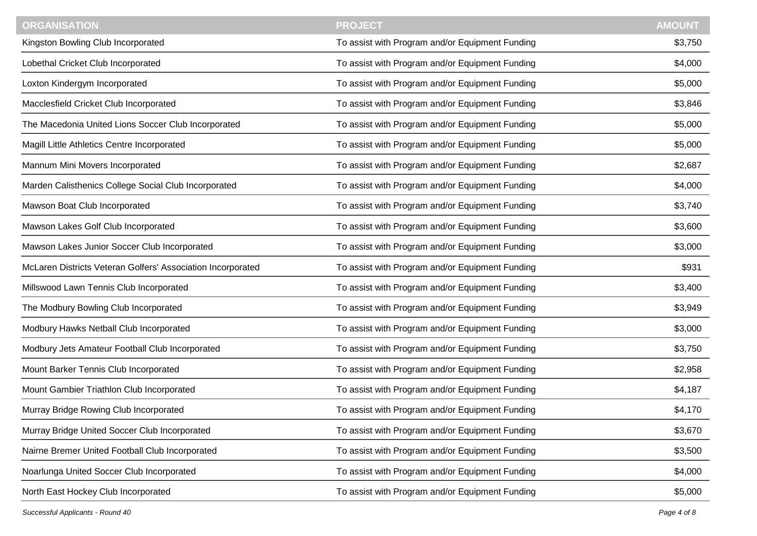| <b>ORGANISATION</b>                                         | <b>PROJECT</b>                                  | <b>AMOUNT</b> |
|-------------------------------------------------------------|-------------------------------------------------|---------------|
| Kingston Bowling Club Incorporated                          | To assist with Program and/or Equipment Funding | \$3,750       |
| Lobethal Cricket Club Incorporated                          | To assist with Program and/or Equipment Funding | \$4,000       |
| Loxton Kindergym Incorporated                               | To assist with Program and/or Equipment Funding | \$5,000       |
| Macclesfield Cricket Club Incorporated                      | To assist with Program and/or Equipment Funding | \$3,846       |
| The Macedonia United Lions Soccer Club Incorporated         | To assist with Program and/or Equipment Funding | \$5,000       |
| Magill Little Athletics Centre Incorporated                 | To assist with Program and/or Equipment Funding | \$5,000       |
| Mannum Mini Movers Incorporated                             | To assist with Program and/or Equipment Funding | \$2,687       |
| Marden Calisthenics College Social Club Incorporated        | To assist with Program and/or Equipment Funding | \$4,000       |
| Mawson Boat Club Incorporated                               | To assist with Program and/or Equipment Funding | \$3,740       |
| Mawson Lakes Golf Club Incorporated                         | To assist with Program and/or Equipment Funding | \$3,600       |
| Mawson Lakes Junior Soccer Club Incorporated                | To assist with Program and/or Equipment Funding | \$3,000       |
| McLaren Districts Veteran Golfers' Association Incorporated | To assist with Program and/or Equipment Funding | \$931         |
| Millswood Lawn Tennis Club Incorporated                     | To assist with Program and/or Equipment Funding | \$3,400       |
| The Modbury Bowling Club Incorporated                       | To assist with Program and/or Equipment Funding | \$3,949       |
| Modbury Hawks Netball Club Incorporated                     | To assist with Program and/or Equipment Funding | \$3,000       |
| Modbury Jets Amateur Football Club Incorporated             | To assist with Program and/or Equipment Funding | \$3,750       |
| Mount Barker Tennis Club Incorporated                       | To assist with Program and/or Equipment Funding | \$2,958       |
| Mount Gambier Triathlon Club Incorporated                   | To assist with Program and/or Equipment Funding | \$4,187       |
| Murray Bridge Rowing Club Incorporated                      | To assist with Program and/or Equipment Funding | \$4,170       |
| Murray Bridge United Soccer Club Incorporated               | To assist with Program and/or Equipment Funding | \$3,670       |
| Nairne Bremer United Football Club Incorporated             | To assist with Program and/or Equipment Funding | \$3,500       |
| Noarlunga United Soccer Club Incorporated                   | To assist with Program and/or Equipment Funding | \$4,000       |
| North East Hockey Club Incorporated                         | To assist with Program and/or Equipment Funding | \$5,000       |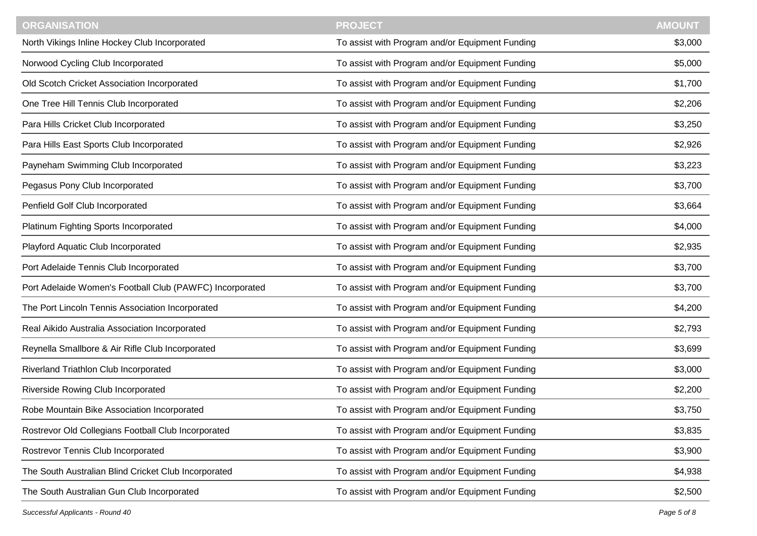| <b>ORGANISATION</b>                                      | <b>PROJECT</b>                                  | <b>AMOUNT</b> |
|----------------------------------------------------------|-------------------------------------------------|---------------|
| North Vikings Inline Hockey Club Incorporated            | To assist with Program and/or Equipment Funding | \$3,000       |
| Norwood Cycling Club Incorporated                        | To assist with Program and/or Equipment Funding | \$5,000       |
| Old Scotch Cricket Association Incorporated              | To assist with Program and/or Equipment Funding | \$1,700       |
| One Tree Hill Tennis Club Incorporated                   | To assist with Program and/or Equipment Funding | \$2,206       |
| Para Hills Cricket Club Incorporated                     | To assist with Program and/or Equipment Funding | \$3,250       |
| Para Hills East Sports Club Incorporated                 | To assist with Program and/or Equipment Funding | \$2,926       |
| Payneham Swimming Club Incorporated                      | To assist with Program and/or Equipment Funding | \$3,223       |
| Pegasus Pony Club Incorporated                           | To assist with Program and/or Equipment Funding | \$3,700       |
| Penfield Golf Club Incorporated                          | To assist with Program and/or Equipment Funding | \$3,664       |
| Platinum Fighting Sports Incorporated                    | To assist with Program and/or Equipment Funding | \$4,000       |
| Playford Aquatic Club Incorporated                       | To assist with Program and/or Equipment Funding | \$2,935       |
| Port Adelaide Tennis Club Incorporated                   | To assist with Program and/or Equipment Funding | \$3,700       |
| Port Adelaide Women's Football Club (PAWFC) Incorporated | To assist with Program and/or Equipment Funding | \$3,700       |
| The Port Lincoln Tennis Association Incorporated         | To assist with Program and/or Equipment Funding | \$4,200       |
| Real Aikido Australia Association Incorporated           | To assist with Program and/or Equipment Funding | \$2,793       |
| Reynella Smallbore & Air Rifle Club Incorporated         | To assist with Program and/or Equipment Funding | \$3,699       |
| Riverland Triathlon Club Incorporated                    | To assist with Program and/or Equipment Funding | \$3,000       |
| Riverside Rowing Club Incorporated                       | To assist with Program and/or Equipment Funding | \$2,200       |
| Robe Mountain Bike Association Incorporated              | To assist with Program and/or Equipment Funding | \$3,750       |
| Rostrevor Old Collegians Football Club Incorporated      | To assist with Program and/or Equipment Funding | \$3,835       |
| Rostrevor Tennis Club Incorporated                       | To assist with Program and/or Equipment Funding | \$3,900       |
| The South Australian Blind Cricket Club Incorporated     | To assist with Program and/or Equipment Funding | \$4,938       |
| The South Australian Gun Club Incorporated               | To assist with Program and/or Equipment Funding | \$2,500       |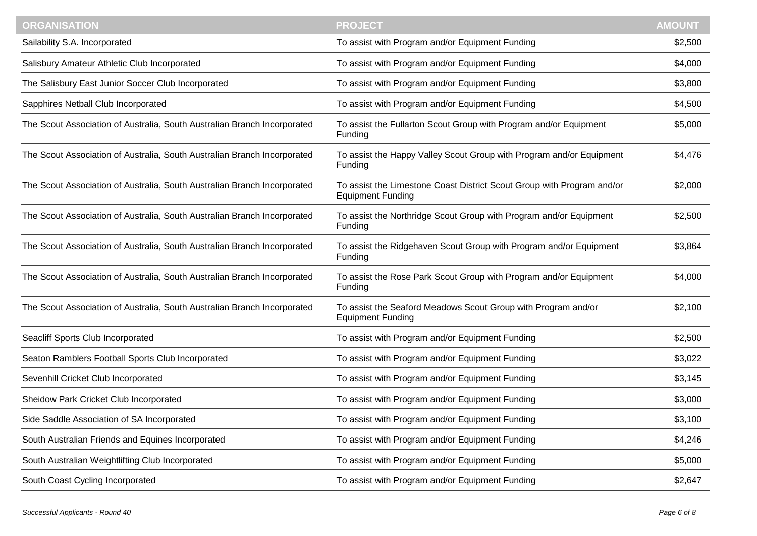| <b>ORGANISATION</b>                                                      | <b>PROJECT</b>                                                                                     | <b>AMOUNT</b> |
|--------------------------------------------------------------------------|----------------------------------------------------------------------------------------------------|---------------|
| Sailability S.A. Incorporated                                            | To assist with Program and/or Equipment Funding                                                    | \$2,500       |
| Salisbury Amateur Athletic Club Incorporated                             | To assist with Program and/or Equipment Funding                                                    | \$4,000       |
| The Salisbury East Junior Soccer Club Incorporated                       | To assist with Program and/or Equipment Funding                                                    | \$3,800       |
| Sapphires Netball Club Incorporated                                      | To assist with Program and/or Equipment Funding                                                    | \$4,500       |
| The Scout Association of Australia, South Australian Branch Incorporated | To assist the Fullarton Scout Group with Program and/or Equipment<br>Funding                       | \$5,000       |
| The Scout Association of Australia, South Australian Branch Incorporated | To assist the Happy Valley Scout Group with Program and/or Equipment<br>Funding                    | \$4,476       |
| The Scout Association of Australia, South Australian Branch Incorporated | To assist the Limestone Coast District Scout Group with Program and/or<br><b>Equipment Funding</b> | \$2,000       |
| The Scout Association of Australia, South Australian Branch Incorporated | To assist the Northridge Scout Group with Program and/or Equipment<br>Funding                      | \$2,500       |
| The Scout Association of Australia, South Australian Branch Incorporated | To assist the Ridgehaven Scout Group with Program and/or Equipment<br>Funding                      | \$3,864       |
| The Scout Association of Australia, South Australian Branch Incorporated | To assist the Rose Park Scout Group with Program and/or Equipment<br>Funding                       | \$4,000       |
| The Scout Association of Australia, South Australian Branch Incorporated | To assist the Seaford Meadows Scout Group with Program and/or<br><b>Equipment Funding</b>          | \$2,100       |
| Seacliff Sports Club Incorporated                                        | To assist with Program and/or Equipment Funding                                                    | \$2,500       |
| Seaton Ramblers Football Sports Club Incorporated                        | To assist with Program and/or Equipment Funding                                                    | \$3,022       |
| Sevenhill Cricket Club Incorporated                                      | To assist with Program and/or Equipment Funding                                                    | \$3,145       |
| Sheidow Park Cricket Club Incorporated                                   | To assist with Program and/or Equipment Funding                                                    | \$3,000       |
| Side Saddle Association of SA Incorporated                               | To assist with Program and/or Equipment Funding                                                    | \$3,100       |
| South Australian Friends and Equines Incorporated                        | To assist with Program and/or Equipment Funding                                                    | \$4,246       |
| South Australian Weightlifting Club Incorporated                         | To assist with Program and/or Equipment Funding                                                    | \$5,000       |
| South Coast Cycling Incorporated                                         | To assist with Program and/or Equipment Funding                                                    | \$2,647       |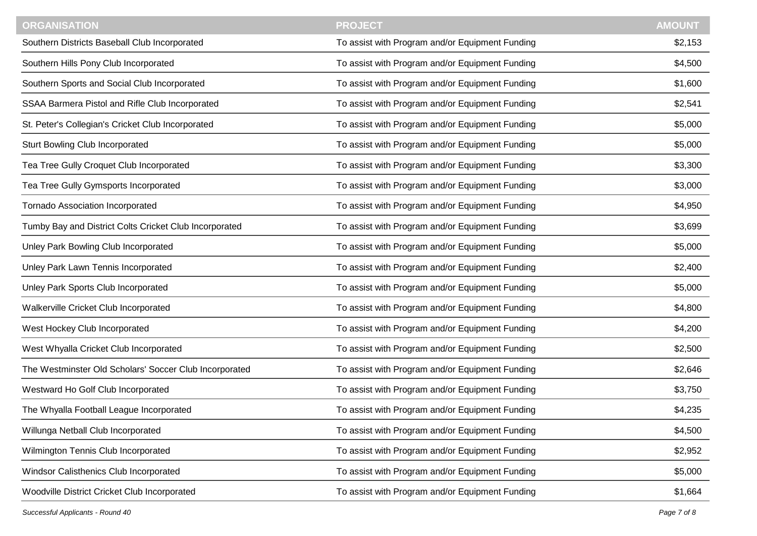| <b>ORGANISATION</b>                                    | <b>PROJECT</b>                                  | <b>AMOUNT</b> |
|--------------------------------------------------------|-------------------------------------------------|---------------|
| Southern Districts Baseball Club Incorporated          | To assist with Program and/or Equipment Funding | \$2,153       |
| Southern Hills Pony Club Incorporated                  | To assist with Program and/or Equipment Funding | \$4,500       |
| Southern Sports and Social Club Incorporated           | To assist with Program and/or Equipment Funding | \$1,600       |
| SSAA Barmera Pistol and Rifle Club Incorporated        | To assist with Program and/or Equipment Funding | \$2,541       |
| St. Peter's Collegian's Cricket Club Incorporated      | To assist with Program and/or Equipment Funding | \$5,000       |
| <b>Sturt Bowling Club Incorporated</b>                 | To assist with Program and/or Equipment Funding | \$5,000       |
| Tea Tree Gully Croquet Club Incorporated               | To assist with Program and/or Equipment Funding | \$3,300       |
| Tea Tree Gully Gymsports Incorporated                  | To assist with Program and/or Equipment Funding | \$3,000       |
| <b>Tornado Association Incorporated</b>                | To assist with Program and/or Equipment Funding | \$4,950       |
| Tumby Bay and District Colts Cricket Club Incorporated | To assist with Program and/or Equipment Funding | \$3,699       |
| Unley Park Bowling Club Incorporated                   | To assist with Program and/or Equipment Funding | \$5,000       |
| Unley Park Lawn Tennis Incorporated                    | To assist with Program and/or Equipment Funding | \$2,400       |
| Unley Park Sports Club Incorporated                    | To assist with Program and/or Equipment Funding | \$5,000       |
| Walkerville Cricket Club Incorporated                  | To assist with Program and/or Equipment Funding | \$4,800       |
| West Hockey Club Incorporated                          | To assist with Program and/or Equipment Funding | \$4,200       |
| West Whyalla Cricket Club Incorporated                 | To assist with Program and/or Equipment Funding | \$2,500       |
| The Westminster Old Scholars' Soccer Club Incorporated | To assist with Program and/or Equipment Funding | \$2,646       |
| Westward Ho Golf Club Incorporated                     | To assist with Program and/or Equipment Funding | \$3,750       |
| The Whyalla Football League Incorporated               | To assist with Program and/or Equipment Funding | \$4,235       |
| Willunga Netball Club Incorporated                     | To assist with Program and/or Equipment Funding | \$4,500       |
| Wilmington Tennis Club Incorporated                    | To assist with Program and/or Equipment Funding | \$2,952       |
| Windsor Calisthenics Club Incorporated                 | To assist with Program and/or Equipment Funding | \$5,000       |
| Woodville District Cricket Club Incorporated           | To assist with Program and/or Equipment Funding | \$1,664       |